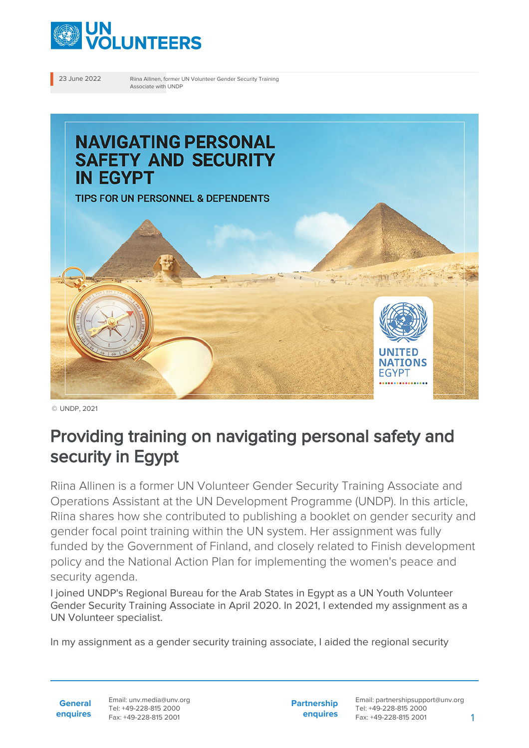

23 June 2022 Riina Allinen, former UN Volunteer Gender Security Training Associate with UNDP



© UNDP, 2021

# Providing training on navigating personal safety and security in Egypt

Riina Allinen is a former UN Volunteer Gender Security Training Associate and Operations Assistant at the UN Development Programme (UNDP). In this article, Riina shares how she contributed to publishing a booklet on gender security and gender focal point training within the UN system. Her assignment was fully funded by the Government of Finland, and closely related to Finish development policy and the National Action Plan for implementing the women's peace and security agenda.

I joined UNDP's Regional Bureau for the Arab States in Egypt as a UN Youth Volunteer Gender Security Training Associate in April 2020. In 2021, I extended my assignment as a UN Volunteer specialist.

In my assignment as a gender security training associate, I aided the regional security

**General enquires** **Partnership enquires**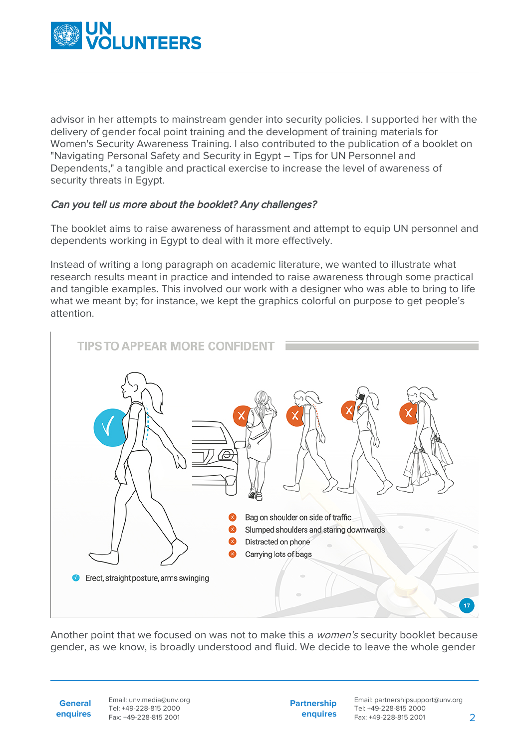

advisor in her attempts to mainstream gender into security policies. I supported her with the delivery of gender focal point training and the development of training materials for Women's Security Awareness Training. I also contributed to the publication of a booklet on "Navigating Personal Safety and Security in Egypt – Tips for UN Personnel and Dependents," a tangible and practical exercise to increase the level of awareness of security threats in Egypt.

### Can you tell us more about the booklet? Any challenges?

The booklet aims to raise awareness of harassment and attempt to equip UN personnel and dependents working in Egypt to deal with it more effectively.

Instead of writing a long paragraph on academic literature, we wanted to illustrate what research results meant in practice and intended to raise awareness through some practical and tangible examples. This involved our work with a designer who was able to bring to life what we meant by; for instance, we kept the graphics colorful on purpose to get people's attention.



Another point that we focused on was not to make this a *women's* security booklet because gender, as we know, is broadly understood and fluid. We decide to leave the whole gender

**General enquires**

Email: unv.media@unv.org Tel: +49-228-815 2000 Fax: +49-228-815 2001

**Partnership enquires**

Email: partnershipsupport@unv.org Tel: +49-228-815 2000 Fax: +49-228-815 2001 2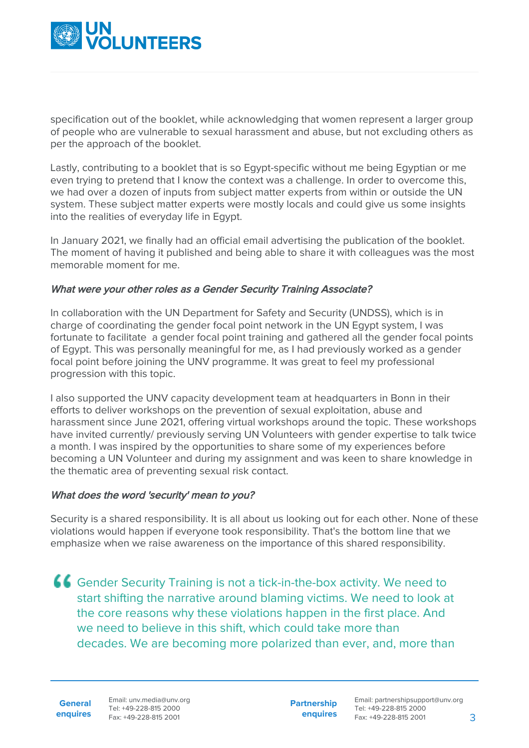

specification out of the booklet, while acknowledging that women represent a larger group of people who are vulnerable to sexual harassment and abuse, but not excluding others as per the approach of the booklet.

Lastly, contributing to a booklet that is so Egypt-specific without me being Egyptian or me even trying to pretend that I know the context was a challenge. In order to overcome this, we had over a dozen of inputs from subject matter experts from within or outside the UN system. These subject matter experts were mostly locals and could give us some insights into the realities of everyday life in Egypt.

In January 2021, we finally had an official email advertising the publication of the booklet. The moment of having it published and being able to share it with colleagues was the most memorable moment for me.

#### What were your other roles as a Gender Security Training Associate?

In collaboration with the UN Department for Safety and Security (UNDSS), which is in charge of coordinating the gender focal point network in the UN Egypt system, I was fortunate to facilitate a gender focal point training and gathered all the gender focal points of Egypt. This was personally meaningful for me, as I had previously worked as a gender focal point before joining the UNV programme. It was great to feel my professional progression with this topic.

I also supported the UNV capacity development team at headquarters in Bonn in their efforts to deliver workshops on the prevention of sexual exploitation, abuse and harassment since June 2021, offering virtual workshops around the topic. These workshops have invited currently/ previously serving UN Volunteers with gender expertise to talk twice a month. I was inspired by the opportunities to share some of my experiences before becoming a UN Volunteer and during my assignment and was keen to share knowledge in the thematic area of preventing sexual risk contact.

#### What does the word 'security' mean to you?

Security is a shared responsibility. It is all about us looking out for each other. None of these violations would happen if everyone took responsibility. That's the bottom line that we emphasize when we raise awareness on the importance of this shared responsibility.

Gender Security Training is not a tick-in-the-box activity. We need to start shifting the narrative around blaming victims. We need to look at the core reasons why these violations happen in the first place. And we need to believe in this shift, which could take more than decades. We are becoming more polarized than ever, and, more than

**General enquires**

Email: unv.media@unv.org Tel: +49-228-815 2000 Fax: +49-228-815 2001

**Partnership enquires** Email: partnershipsupport@unv.org Tel: +49-228-815 2000 Fax: +49-228-815 2001 3